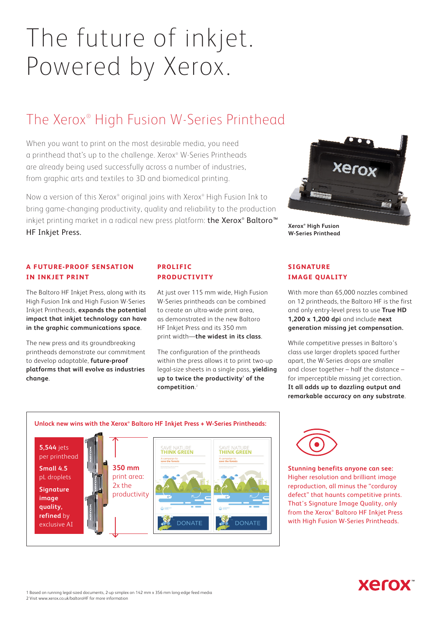# The future of inkjet. Powered by Xerox.

## The Xerox® High Fusion W-Series Printhead

When you want to print on the most desirable media, you need a printhead that's up to the challenge. Xerox® W-Series Printheads are already being used successfully across a number of industries, from graphic arts and textiles to 3D and biomedical printing.

Now a version of this Xerox® original joins with Xerox® High Fusion Ink to bring game-changing productivity, quality and reliability to the production inkjet printing market in a radical new press platform: **the Xerox® Baltoro™** HF Inkjet Press.



**Xerox® High Fusion W-Series Printhead**

#### **A FUTURE-PROOF SENSATION IN INKJET PRINT**

The Baltoro HF Inkjet Press, along with its High Fusion Ink and High Fusion W-Series Inkjet Printheads, **expands the potential impact that inkjet technology can have in the graphic communications space**.

The new press and its groundbreaking printheads demonstrate our commitment to develop adaptable, **future-proof platforms that will evolve as industries change**.

#### **PROLIFIC PRODUCTIVITY**

At just over 115 mm wide, High Fusion W-Series printheads can be combined to create an ultra-wide print area, as demonstrated in the new Baltoro HF Inkjet Press and its 350 mm print width—**the widest in its class**.

The configuration of the printheads within the press allows it to print two-up legal-size sheets in a single pass, **yielding**  up to twice the productivity<sup>1</sup> of the **competition**. 2

#### **SIGNATURE IMAGE QUALITY**

With more than 65,000 nozzles combined on 12 printheads, the Baltoro HF is the first and only entry-level press to use **True HD 1,200 x 1,200 dpi** and include **next generation missing jet compensation.**

While competitive presses in Baltoro's class use larger droplets spaced further apart, the W-Series drops are smaller and closer together – half the distance – for imperceptible missing jet correction. **It all adds up to dazzling output and remarkable accuracy on any substrate**.





**Stunning benefits anyone can see:**  Higher resolution and brilliant image reproduction, all minus the "corduroy defect" that haunts competitive prints. That's Signature Image Quality, only from the Xerox® Baltoro HF Inkjet Press with High Fusion W-Series Printheads.